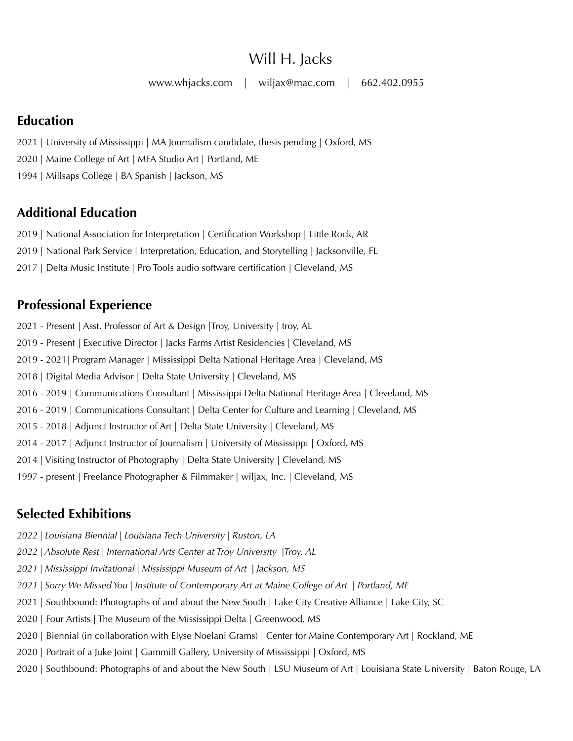# Will H. Jacks

[www.whjacks.com](http://www.whjacks.com) | [wiljax@mac.com](mailto:wiljax@mac.com) | 662.402.0955

### **Education**

2021 | University of Mississippi | MA Journalism candidate, thesis pending | Oxford, MS

2020 | Maine College of Art | MFA Studio Art | Portland, ME

1994 | Millsaps College | BA Spanish | Jackson, MS

# **Additional Education**

2019 | National Association for Interpretation | Certification Workshop | Little Rock, AR

2019 | National Park Service | Interpretation, Education, and Storytelling | Jacksonville, FL

2017 | Delta Music Institute | Pro Tools audio software certification | Cleveland, MS

# **Professional Experience**

2021 - Present | Asst. Professor of Art & Design |Troy, University | troy, AL 2019 - Present | Executive Director | Jacks Farms Artist Residencies | Cleveland, MS 2019 - 2021| Program Manager | Mississippi Delta National Heritage Area | Cleveland, MS 2018 | Digital Media Advisor | Delta State University | Cleveland, MS 2016 - 2019 | Communications Consultant | Mississippi Delta National Heritage Area | Cleveland, MS 2016 - 2019 | Communications Consultant | Delta Center for Culture and Learning | Cleveland, MS 2015 - 2018 | Adjunct Instructor of Art | Delta State University | Cleveland, MS 2014 - 2017 | Adjunct Instructor of Journalism | University of Mississippi | Oxford, MS 2014 | Visiting Instructor of Photography | Delta State University | Cleveland, MS 1997 - present | Freelance Photographer & Filmmaker | wiljax, Inc. | Cleveland, MS

# **Selected Exhibitions**

- *2022 | Louisiana Biennial | Louisiana Tech University | Ruston, LA*
- *2022 | Absolute Rest | International Arts Center at Troy University |Troy, AL*
- *2021 | Mississippi Invitational | Mississippi Museum of Art | Jackson, MS*
- *2021 | Sorry We Missed You | Institute of Contemporary Art at Maine College of Art | Portland, ME*
- 2021 | Southbound: Photographs of and about the New South | Lake City Creative Alliance | Lake City, SC
- 2020 | Four Artists | The Museum of the Mississippi Delta | Greenwood, MS
- 2020 | Biennial (in collaboration with Elyse Noelani Grams) | Center for Maine Contemporary Art | Rockland, ME
- 2020 | Portrait of a Juke Joint | Gammill Gallery, University of Mississippi | Oxford, MS
- 2020 | Southbound: Photographs of and about the New South | LSU Museum of Art | Louisiana State University | Baton Rouge, LA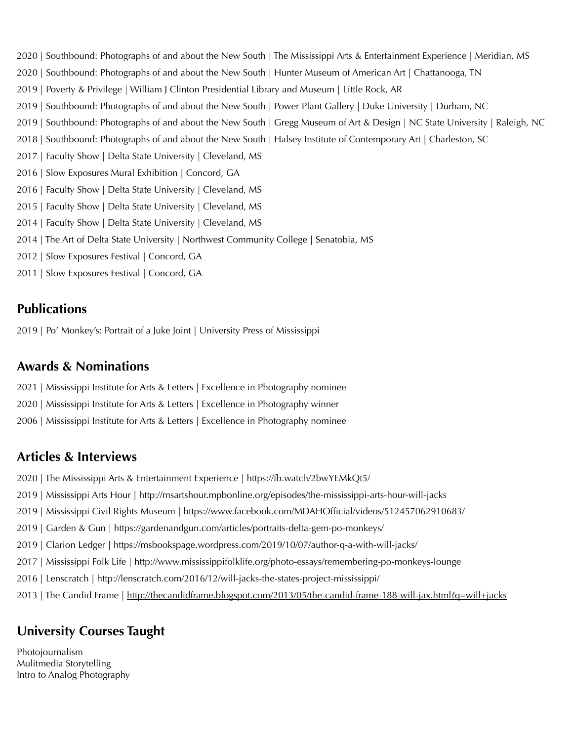- 2020 | Southbound: Photographs of and about the New South | The Mississippi Arts & Entertainment Experience | Meridian, MS 2020 | Southbound: Photographs of and about the New South | Hunter Museum of American Art | Chattanooga, TN 2019 | Poverty & Privilege | William J Clinton Presidential Library and Museum | Little Rock, AR 2019 | Southbound: Photographs of and about the New South | Power Plant Gallery | Duke University | Durham, NC 2019 | Southbound: Photographs of and about the New South | Gregg Museum of Art & Design | NC State University | Raleigh, NC 2018 | Southbound: Photographs of and about the New South | Halsey Institute of Contemporary Art | Charleston, SC 2017 | Faculty Show | Delta State University | Cleveland, MS 2016 | Slow Exposures Mural Exhibition | Concord, GA 2016 | Faculty Show | Delta State University | Cleveland, MS 2015 | Faculty Show | Delta State University | Cleveland, MS 2014 | Faculty Show | Delta State University | Cleveland, MS 2014 | The Art of Delta State University | Northwest Community College | Senatobia, MS 2012 | Slow Exposures Festival | Concord, GA
- 2011 | Slow Exposures Festival | Concord, GA

### **Publications**

2019 | Po' Monkey's: Portrait of a Juke Joint | University Press of Mississippi

#### **Awards & Nominations**

- 2021 | Mississippi Institute for Arts & Letters | Excellence in Photography nominee
- 2020 | Mississippi Institute for Arts & Letters | Excellence in Photography winner
- 2006 | Mississippi Institute for Arts & Letters | Excellence in Photography nominee

#### **Articles & Interviews**

- 2020 | The Mississippi Arts & Entertainment Experience | https://fb.watch/2bwYEMkQt5/
- 2019 | Mississippi Arts Hour | http://msartshour.mpbonline.org/episodes/the-mississippi-arts-hour-will-jacks
- 2019 | Mississippi Civil Rights Museum | https://www.facebook.com/MDAHOfficial/videos/512457062910683/
- 2019 | Garden & Gun | https://gardenandgun.com/articles/portraits-delta-gem-po-monkeys/
- 2019 | Clarion Ledger | https://msbookspage.wordpress.com/2019/10/07/author-q-a-with-will-jacks/
- 2017 | Mississippi Folk Life | http://www.mississippifolklife.org/photo-essays/remembering-po-monkeys-lounge
- 2016 | Lenscratch | http://lenscratch.com/2016/12/will-jacks-the-states-project-mississippi/
- 2013 | The Candid Frame | <http://thecandidframe.blogspot.com/2013/05/the-candid-frame-188-will-jax.html?q=will+jacks>

### **University Courses Taught**

Photojournalism Mulitmedia Storytelling Intro to Analog Photography